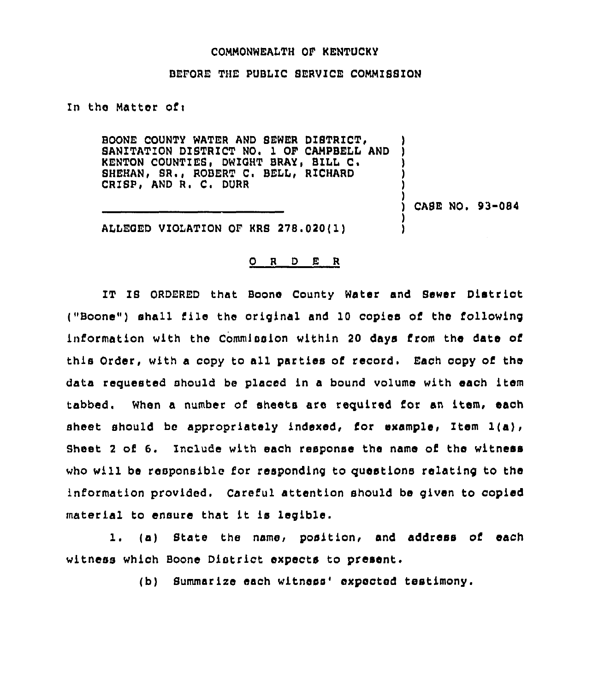## COMMONWEALTH OF KENTUCKY

## BEFORE THE PUBLIC SERVICE COMMISSION

In the Matter ofi

BOONE COUNTY WATER AND SEWER DISTRICT. SANITATION DISTRICT NO, 1 OF CAMPBELL AND KENTON COUNTIES, DWIGHT BRAY, BILL C. SHEHAN, SR., ROBERT C. BELL, RICHARD CRISPi AND R. C. DURA

) CASE NO <sup>~</sup> 93-084

) ) ) ) ) )

) )

ALLEGED VIOLATION OF KRS 278.020(1)

## 0 <sup>R</sup> <sup>D</sup> E <sup>R</sup>

IT IS ORDERED that Boone County Water and Sewer District ("Boone") shall file the original and 10 copies of the following information with the Commission within 20 days from the date of this Order, with a copy to all parties of record. Each copy of the data requested should be placed in a bound volume with each item tabbed. When a number of sheets are required for an item, each sheet should be appropriately indexed, for example, Item 1(a), Sheet <sup>2</sup> of 6. Include with each response the name of the witness who will be responsible for responding to questions relating to the information provided. Careful attention should be given to copied material to ensure that it is legible.

l. (a) State the name, position, and address of each witness which Boone District expects to present.

(b) Summarize each witness' expected testimony.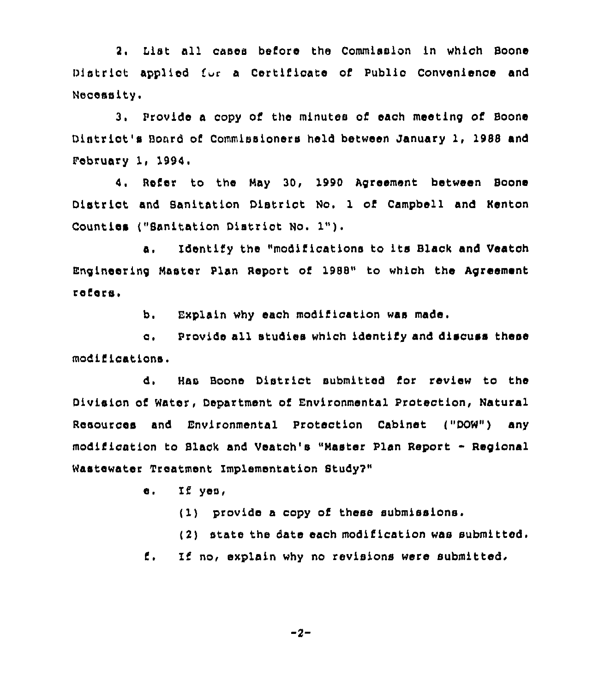2. List all cases before the Commission in which Boone District applied for a Certificate of Public Convenience and Nocossity.

<sup>3</sup> <sup>~</sup> Provido a copy of the minutes of each meeting of Boone District's Board of Commissioners held between January 1, 1988 and February 1, 1994.

4. Refer to the May 30, 1990 Agreement between Boone District and Banitation District No, 1 of Campbell and Kenton Countios ("Sanitatlon District No. 1").

a. Montify the "modifications to its Black and Veatch Engineering Nestor Plan Report of 1988" to which the Agreement rofars,

b. Explain why each modification was made.

c. Provide all studies which identify and discuss these modifications.

d. Has Boone District submitted for review to the Division of Water, Dopartment of Environmental Protection, Natural Resources and Environmental Protection Cabinet ("DOW") any modification to Black and Veatch's "Master Plan Report - Regional Wastewater Treatment Implementation Study?"

e. Xf yes,

 $(1)$  provide a copy of these submissions.

(2) state the date each modification was submittod.

f. If no, explain why no revisions were submitted.

-2-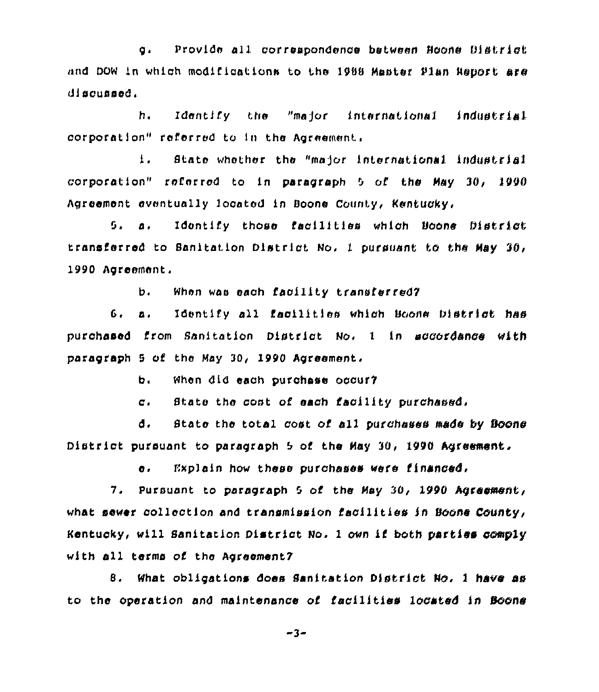g. Provide all correspondence between Hoone District and DOW in which modifications to the 1988 Master Plan Report are discussed.

h. Identify the "major international industrial corporation" referred to in the Agreement,

i. State whether the "major internstiona1 industrial corporation" referred to in paragraph  $5$  of the May 30, 1990 Agreement eventually located in Boone County, Kentucky,

5. a. identify those fscilltiea which Boone District transferred to Sanitation District No. 1 pursuant to the May 30, 1990 Agreement.

b. When was each facility transferred?

6, a. identify all facilitiea which Boone District haa purchased from Sanitation District No, <sup>1</sup> in accordance with paragraph 5 of the May 30, 1990 Agreement.

b. When did each purchase occur?

c. State the cont of each facility purchased.

d, State the total cost of all purchases made by Boone District pursuant to paragraph <sup>5</sup> of the May 30, 1990 Agreement.

o. Kxplain how these purchases were financed.

7. Pursuant to paragraph 5 of the May 30, 1990 Agreement, what sewer collection and transmission facilities in Boone County, Kentucky, will Sanitation District No. 1 own if both parties comply with all terms of the Agreement?

8. What obligations does Sanitation District No. 1 have as to the operation and maintenance of facilities located in Boone

 $-3-$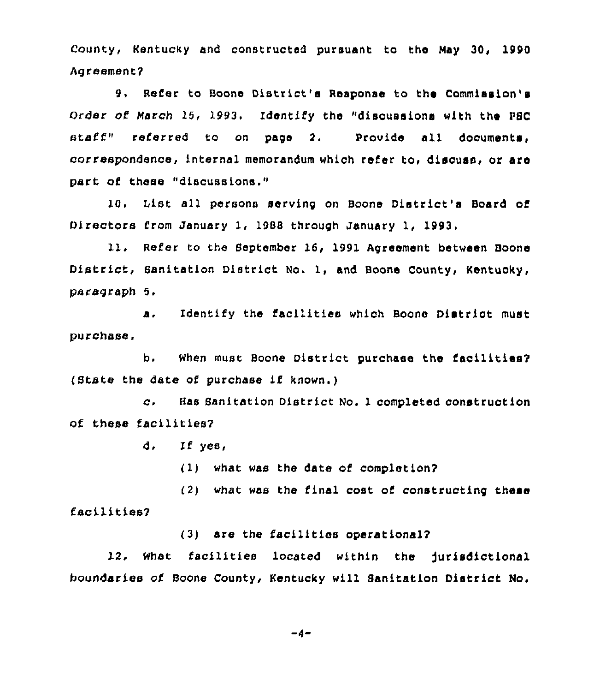county, Kentucky and constructed pursuant to the May 30, 1990 Agreement7

9, Refer to Boone District's Response to the Commission's Order of March 15, 1993. Identify the "disoussions with the PSC  $\texttt{stack}$  referred to on page 2. Provide all documents, correspondence, internal memorandum which refer to, disouss, or are part of these "discussions."

10. List all persons serving on Boone District's Board of Directors from January 1, 198S through January 1, 1993.

11. Refer to the September 16, 1991 Agreement between Boone District, Sanitation District No. 1, and Boone County, Kentucky, paragraph 5,

a. Identify the facilities which Boone Distriot must purchase.

b. When must Boone District purchase the facilities? (Stats the date of purchase if known.)

c, Has Banitation District No. <sup>1</sup> completed construction of these facilities?

d, If yes,

(1) what was the date of completion?

 $(2)$  what was the final cost of constructing these facilities?

(3) are the facilities operationalg

12. What facilities located within the jurisdictional boundaries of Boone County, Kentucky will Sanitation District No.

 $-4-$